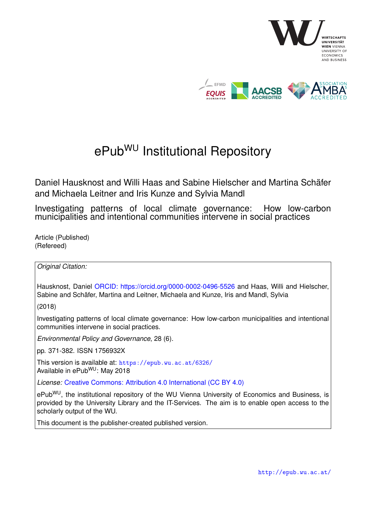

# ePub<sup>WU</sup> Institutional Repository

Daniel Hausknost and Willi Haas and Sabine Hielscher and Martina Schäfer and Michaela Leitner and Iris Kunze and Sylvia Mandl

Investigating patterns of local climate governance: How low-carbon municipalities and intentional communities intervene in social practices

Article (Published) (Refereed)

*Original Citation:*

Hausknost, Daniel [ORCID: https://orcid.org/0000-0002-0496-5526](https://orcid.org/0000-0002-0496-5526) and Haas, Willi and Hielscher, Sabine and Schäfer, Martina and Leitner, Michaela and Kunze, Iris and Mandl, Sylvia

(2018)

Investigating patterns of local climate governance: How low-carbon municipalities and intentional communities intervene in social practices.

*Environmental Policy and Governance*, 28 (6).

pp. 371-382. ISSN 1756932X

This version is available at: <https://epub.wu.ac.at/6326/> Available in ePubWU: May 2018

*License:* [Creative Commons: Attribution 4.0 International \(CC BY 4.0\)](https://creativecommons.org/licenses/by/4.0/deed.en)

ePub<sup>WU</sup>, the institutional repository of the WU Vienna University of Economics and Business, is provided by the University Library and the IT-Services. The aim is to enable open access to the scholarly output of the WU.

This document is the publisher-created published version.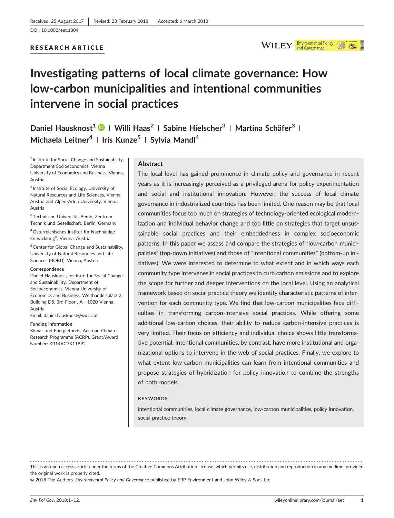## RESEARCH ARTICLE



## **Investigating patterns of local climate governance: How low‐carbon municipalities and intentional communities intervene in social practices**

**Daniel Hausknost1 <sup>|</sup> Willi Haas2 <sup>|</sup> Sabine Hielscher3 <sup>|</sup> Martina Schäfer3 <sup>|</sup> Michaela Leitner4 <sup>|</sup> Iris Kunze5 <sup>|</sup> Sylvia Mandl<sup>4</sup>**

<sup>1</sup> Institute for Social Change and Sustainability, Department Socioeconomics, Vienna University of Economics and Business, Vienna, Austria

<sup>2</sup> Institute of Social Ecology, University of Natural Resources and Life Sciences, Vienna, Austria and Alpen‐Adria University, Vienna, Austria

3Technische Universität Berlin, Zentrum Technik und Gesellschaft, Berlin, Germany

4Österreichisches Institut für Nachhaltige Entwicklung<sup>A</sup>, Vienna, Austria

5Center for Global Change and Sustainability, University of Natural Resources and Life Sciences (BOKU), Vienna, Austria

#### **Correspondence**

Daniel Hausknost, Institute for Social Change and Sustainability, Department of Socioeconomics, Vienna University of Economics and Business, Welthandelsplatz 2, Building D5, 3rd Floor , A ‐ 1020 Vienna, Austria.

Email: [daniel.hausknost@wu.ac.at](mailto:daniel.hausknost@wu.ac.at)

#### **Funding information**

Klima‐ und Energiefonds, Austrian Climate Research Programme (ACRP), Grant/Award Number: KR14AC7K11892

#### **Abstract**

The local level has gained prominence in climate policy and governance in recent years as it is increasingly perceived as a privileged arena for policy experimentation and social and institutional innovation. However, the success of local climate governance in industrialized countries has been limited. One reason may be that local communities focus too much on strategies of technology‐oriented ecological modernization and individual behavior change and too little on strategies that target unsustainable social practices and their embeddedness in complex socioeconomic patterns. In this paper we assess and compare the strategies of "low-carbon municipalities" (top‐down initiatives) and those of "intentional communities" (bottom‐up initiatives). We were interested to determine to what extent and in which ways each community type intervenes in social practices to curb carbon emissions and to explore the scope for further and deeper interventions on the local level. Using an analytical framework based on social practice theory we identify characteristic patterns of intervention for each community type. We find that low-carbon municipalities face difficulties in transforming carbon‐intensive social practices. While offering some additional low‐carbon choices, their ability to reduce carbon‐intensive practices is very limited. Their focus on efficiency and individual choice shows little transformative potential. Intentional communities, by contrast, have more institutional and organizational options to intervene in the web of social practices. Finally, we explore to what extent low-carbon municipalities can learn from intentional communities and propose strategies of hybridization for policy innovation to combine the strengths of both models.

#### **KEYWORDS**

intentional communities, local climate governance, low‐carbon municipalities, policy innovation, social practice theory

------------------------------------------------------------------------------------------------------------------------------- - This is an open access article under the terms of the [Creative Commons Attribution](http://creativecommons.org/licenses/by/4.0/) License, which permits use, distribution and reproduction in any medium, provided the original work is properly cited.

© 2018 The Authors. *Environmental Policy and Governance* published by ERP Environment and John Wiley & Sons Ltd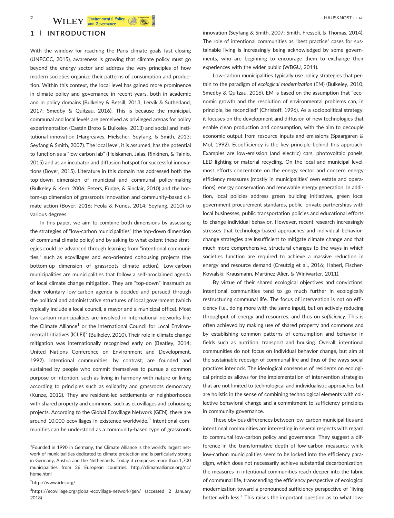## **1** | **INTRODUCTION**

With the window for reaching the Paris climate goals fast closing (UNFCCC, 2015), awareness is growing that climate policy must go beyond the energy sector and address the very principles of how modern societies organize their patterns of consumption and production. Within this context, the local level has gained more prominence in climate policy and governance in recent years, both in academic and in policy domains (Bulkeley & Betsill, 2013; Lervik & Sutherland, 2017; Smedby & Quitzau, 2016). This is because the municipal, communal and local levels are perceived as privileged arenas for policy experimentation (Castán Broto & Bulkeley, 2013) and social and institutional innovation (Hargreaves, Hielscher, Seyfang, & Smith, 2013; Seyfang & Smith, 2007). The local level, it is assumed, has the potential to function as a "low carbon lab" (Heiskanen, Jalas, Rinkinen, & Tainio, 2015) and as an incubator and diffusion hotspot for successful innovations (Boyer, 2015). Literature in this domain has addressed both the top‐down dimension of municipal and communal policy‐making (Bulkeley & Kern, 2006; Peters, Fudge, & Sinclair, 2010) and the bottom‐up dimension of grassroots innovation and community‐based climate action (Boyer, 2016; Feola & Nunes, 2014; Seyfang, 2010) to various degrees.

In this paper, we aim to combine both dimensions by assessing the strategies of "low‐carbon municipalities" (the top‐down dimension of communal climate policy) and by asking to what extent these strategies could be advanced through learning from "intentional communities," such as ecovillages and eco‐oriented cohousing projects (the bottom-up dimension of grassroots climate action). Low-carbon municipalities are municipalities that follow a self‐proclaimed agenda of local climate change mitigation. They are "top‐down" inasmuch as their voluntary low‐carbon agenda is decided and pursued through the political and administrative structures of local government (which typically include a local council, a mayor and a municipal office). Most low‐carbon municipalities are involved in international networks like the Climate Alliance<sup>1</sup> or the International Council for Local Environmental Initiatives (ICLEI)<sup>2</sup> (Bulkeley, 2010). Their role in climate change mitigation was internationally recognized early on (Beatley, 2014; United Nations Conference on Environment and Development, 1992). Intentional communities, by contrast, are founded and sustained by people who commit themselves to pursue a common purpose or intention, such as living in harmony with nature or living according to principles such as solidarity and grassroots democracy (Kunze, 2012). They are resident‐led settlements or neighborhoods with shared property and commons, such as ecovillages and cohousing projects. According to the Global Ecovillage Network (GEN), there are around 10,000 ecovillages in existence worldwide.<sup>3</sup> Intentional communities can be understood as a community‐based type of grassroots

<sup>2</sup>[http://www.iclei.org/](http://www.iclei.org)

innovation (Seyfang & Smith, 2007; Smith, Fressoli, & Thomas, 2014). The role of intentional communities as "best practice" cases for sustainable living is increasingly being acknowledged by some governments, who are beginning to encourage them to exchange their experiences with the wider public (WBGU, 2011).

Low-carbon municipalities typically use policy strategies that pertain to the paradigm of *ecological modernization* (EM) (Bulkeley, 2010; Smedby & Quitzau, 2016). EM is based on the assumption that "economic growth and the resolution of environmental problems can, in principle, be reconciled" (Christoff, 1996). As a sociopolitical strategy, it focuses on the development and diffusion of new technologies that enable clean production and consumption, with the aim to decouple economic output from resource inputs and emissions (Spaargaren & Mol, 1992). Ecoefficiency is the key principle behind this approach. Examples are low-emission (and electric) cars, photovoltaic panels, LED lighting or material recycling. On the local and municipal level, most efforts concentrate on the energy sector and concern energy efficiency measures (mostly in municipalities' own estate and operations), energy conservation and renewable energy generation. In addition, local policies address green building initiatives, green local government procurement standards, public–private partnerships with local businesses, public transportation policies and educational efforts to change individual behavior. However, recent research increasingly stresses that technology-based approaches and individual behaviorchange strategies are insufficient to mitigate climate change and that much more comprehensive, structural changes to the ways in which societies function are required to achieve a massive reduction in energy and resource demand (Creutzig et al., 2016; Haberl, Fischer‐ Kowalski, Krausmann, Martinez‐Alier, & Winiwarter, 2011).

By virtue of their shared ecological objectives and convictions, intentional communities tend to go much further in ecologically restructuring communal life. The focus of intervention is not on efficiency (i.e., doing more with the same input), but on actively reducing throughput of energy and resources, and thus on *sufficiency*. This is often achieved by making use of shared property and commons and by establishing common patterns of consumption and behavior in fields such as nutrition, transport and housing. Overall, intentional communities do not focus on individual behavior change, but aim at the sustainable redesign of communal life and thus of the ways social practices interlock. The ideological consensus of residents on ecological principles allows for the implementation of intervention strategies that are not limited to technological and individualistic approaches but are holistic in the sense of combining technological elements with collective behavioral change and a commitment to sufficiency principles in community governance.

These obvious differences between low‐carbon municipalities and intentional communities are interesting in several respects with regard to communal low-carbon policy and governance. They suggest a difference in the transformative depth of low-carbon measures: while low‐carbon municipalities seem to be locked into the efficiency paradigm, which does not necessarily achieve substantial decarbonization, the measures in intentional communities reach deeper into the fabric of communal life, transcending the efficiency perspective of ecological modernization toward a pronounced sufficiency perspective of "living better with less." This raises the important question as to what low-

<sup>&</sup>lt;sup>1</sup>Founded in 1990 in Germany, the Climate Alliance is the world's largest network of municipalities dedicated to climate protection and is particularly strong in Germany, Austria and the Netherlands. Today it comprises more than 1,700 municipalities from 26 European countries. [http://climatealliance.org/nc/](http://climatealliance.org/nc/home.html) [home.html](http://climatealliance.org/nc/home.html)

<sup>&</sup>lt;sup>3</sup>[https://ecovillage.org/global](https://ecovillage.org/global-ecovillage-network/gen/)-ecovillage-network/gen/ (accessed 2 January 2018)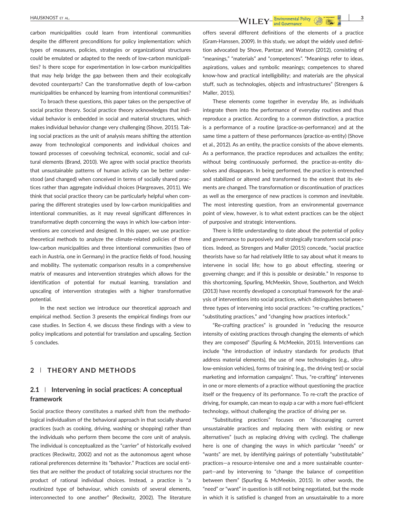carbon municipalities could learn from intentional communities despite the different preconditions for policy implementation: which types of measures, policies, strategies or organizational structures could be emulated or adapted to the needs of low‐carbon municipalities? Is there scope for experimentation in low‐carbon municipalities that may help bridge the gap between them and their ecologically devoted counterparts? Can the transformative depth of low‐carbon municipalities be enhanced by learning from intentional communities?

To broach these questions, this paper takes on the perspective of social practice theory. Social practice theory acknowledges that individual behavior is embedded in social and material structures, which makes individual behavior change very challenging (Shove, 2015). Taking social practices as the unit of analysis means shifting the attention away from technological components and individual choices and toward processes of coevolving technical, economic, social and cultural elements (Brand, 2010). We agree with social practice theorists that unsustainable patterns of human activity can be better understood (and changed) when conceived in terms of socially shared practices rather than aggregate individual choices (Hargreaves, 2011). We think that social practice theory can be particularly helpful when comparing the different strategies used by low-carbon municipalities and intentional communities, as it may reveal significant differences in transformative depth concerning the ways in which low‐carbon interventions are conceived and designed. In this paper, we use practice‐ theoretical methods to analyze the climate‐related policies of three low‐carbon municipalities and three intentional communities (two of each in Austria, one in Germany) in the practice fields of food, housing and mobility. The systematic comparison results in a comprehensive matrix of measures and intervention strategies which allows for the identification of potential for mutual learning, translation and upscaling of intervention strategies with a higher transformative potential.

In the next section we introduce our theoretical approach and empirical method. Section 3 presents the empirical findings from our case studies. In Section 4, we discuss these findings with a view to policy implications and potential for translation and upscaling. Section 5 concludes.

## **2** | **THEORY AND METHODS**

## **2.1** | **Intervening in social practices: A conceptual framework**

Social practice theory constitutes a marked shift from the methodological individualism of the behavioral approach in that socially shared practices (such as cooking, driving, washing or shopping) rather than the individuals who perform them become the core unit of analysis. The individual is conceptualized as the "carrier" of historically evolved practices (Reckwitz, 2002) and not as the autonomous agent whose rational preferences determine its "behavior." Practices are social entities that are neither the product of totalizing social structures nor the product of rational individual choices. Instead, a practice is "a routinized type of behaviour, which consists of several elements, interconnected to one another" (Reckwitz, 2002). The literature offers several different definitions of the elements of a practice (Gram‐Hanssen, 2009). In this study, we adopt the widely used definition advocated by Shove, Pantzar, and Watson (2012), consisting of "meanings," "materials" and "competences". "Meanings refer to ideas, aspirations, values and symbolic meanings; competences to shared know‐how and practical intelligibility; and materials are the physical stuff, such as technologies, objects and infrastructures" (Strengers & Maller, 2015).

These elements come together in everyday life, as individuals integrate them into the performance of everyday routines and thus reproduce a practice. According to a common distinction, a practice is a performance of a routine (practice‐as‐performance) and at the same time a pattern of these performances (practice-as-entity) (Shove et al., 2012). As an entity, the practice consists of the above elements. As a performance, the practice reproduces and actualizes the entity; without being continuously performed, the practice-as-entity dissolves and disappears. In being performed, the practice is entrenched and stabilized or altered and transformed to the extent that its elements are changed. The transformation or discontinuation of practices as well as the emergence of new practices is common and inevitable. The most interesting question, from an environmental governance point of view, however, is to what extent practices can be the object of purposive and strategic interventions.

There is little understanding to date about the potential of policy and governance to purposively and strategically transform social practices. Indeed, as Strengers and Maller (2015) concede, "social practice theorists have so far had relatively little to say about what it means to intervene in social life; how to go about effecting, steering or governing change; and if this is possible or desirable." In response to this shortcoming, Spurling, McMeekin, Shove, Southerton, and Welch (2013) have recently developed a conceptual framework for the analysis of interventions into social practices, which distinguishes between three types of intervening into social practices: "re‐crafting practices," "substituting practices," and "changing how practices interlock."

"Re‐crafting practices" is grounded in "reducing the resource intensity of existing practices through changing the elements of which they are composed" (Spurling & McMeekin, 2015). Interventions can include "the introduction of industry standards for products (that address material elements), the use of new technologies (e.g., ultralow-emission vehicles), forms of training (e.g., the driving test) or social marketing and information campaigns". Thus, "re-crafting" intervenes in one or more elements of a practice without questioning the practice itself or the frequency of its performance. To re‐craft the practice of driving, for example, can mean to equip a car with a more fuel‐efficient technology, without challenging the practice of driving per se.

"Substituting practices" focuses on "discouraging current unsustainable practices and replacing them with existing or new alternatives" (such as replacing driving with cycling). The challenge here is one of changing the ways in which particular "needs" or "wants" are met, by identifying pairings of potentially "substitutable" practices—a resource‐intensive one and a more sustainable counterpart—and by intervening to "change the balance of competition between them" (Spurling & McMeekin, 2015). In other words, the "need" or "want" in question is still not being negotiated, but the mode in which it is satisfied is changed from an unsustainable to a more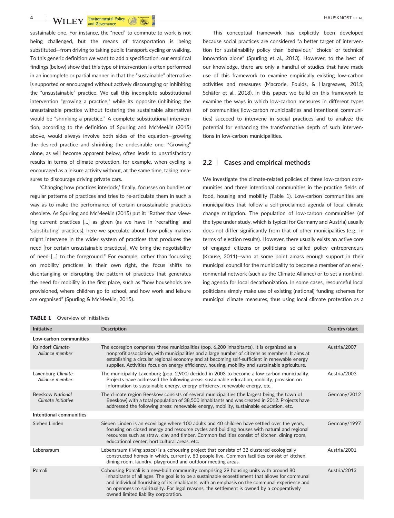**4 HAUSKNOST** ET AL. **Environmental Policy CONTACT BY** and Governance

sustainable one. For instance, the "need" to commute to work is not being challenged, but the means of transportation is being substituted—from driving to taking public transport, cycling or walking. To this generic definition we want to add a specification: our empirical findings (below) show that this type of intervention is often performed in an incomplete or partial manner in that the "sustainable" alternative is supported or encouraged without actively discouraging or inhibiting the "unsustainable" practice. We call this incomplete substitutional intervention "growing a practice," while its opposite (inhibiting the unsustainable practice without fostering the sustainable alternative) would be "shrinking a practice." A complete substitutional intervention, according to the definition of Spurling and McMeekin (2015) above, would always involve both sides of the equation—growing the desired practice and shrinking the undesirable one. "Growing" alone, as will become apparent below, often leads to unsatisfactory results in terms of climate protection, for example, when cycling is encouraged as a leisure activity without, at the same time, taking measures to discourage driving private cars.

'Changing how practices interlock,' finally, focusses on bundles or regular patterns of practices and tries to re‐articulate them in such a way as to make the performance of certain unsustainable practices obsolete. As Spurling and McMeekin (2015) put it: "Rather than viewing current practices [...] as given (as we have in 'recrafting' and 'substituting' practices), here we speculate about how policy makers might intervene in the wider system of practices that produces the need [for certain unsustainable practices]. We bring the negotiability of need [...] to the foreground." For example, rather than focussing on mobility practices in their own right, the focus shifts to disentangling or disrupting the pattern of practices that generates the need for mobility in the first place, such as "how households are provisioned, where children go to school, and how work and leisure are organised" (Spurling & McMeekin, 2015).

This conceptual framework has explicitly been developed because social practices are considered "a better target of intervention for sustainability policy than 'behaviour,' 'choice' or technical innovation alone" (Spurling et al., 2013). However, to the best of our knowledge, there are only a handful of studies that have made use of this framework to examine empirically existing low‐carbon activities and measures (Macrorie, Foulds, & Hargreaves, 2015; Schäfer et al., 2018). In this paper, we build on this framework to examine the ways in which low-carbon measures in different types of communities (low‐carbon municipalities and intentional communities) succeed to intervene in social practices and to analyze the potential for enhancing the transformative depth of such interventions in low‐carbon municipalities.

### **2.2** | **Cases and empirical methods**

We investigate the climate-related policies of three low-carbon communities and three intentional communities in the practice fields of food, housing and mobility (Table 1). Low-carbon communities are municipalities that follow a self‐proclaimed agenda of local climate change mitigation. The population of low‐carbon communities (of the type under study, which is typical for Germany and Austria) usually does not differ significantly from that of other municipalities (e.g., in terms of election results). However, there usually exists an active core of engaged citizens or politicians-so-called policy entrepreneurs (Krause, 2011)—who at some point amass enough support in their municipal council for the municipality to become a member of an environmental network (such as the Climate Alliance) or to set a nonbinding agenda for local decarbonization. In some cases, resourceful local politicians simply make use of existing (national) funding schemes for municipal climate measures, thus using local climate protection as a

| <b>Initiative</b>                             | <b>Description</b>                                                                                                                                                                                                                                                                                                                                                                                                              | Country/start |
|-----------------------------------------------|---------------------------------------------------------------------------------------------------------------------------------------------------------------------------------------------------------------------------------------------------------------------------------------------------------------------------------------------------------------------------------------------------------------------------------|---------------|
| Low-carbon communities                        |                                                                                                                                                                                                                                                                                                                                                                                                                                 |               |
| Kaindorf Climate-<br>Alliance member          | The ecoregion comprises three municipalities (pop. 6,200 inhabitants). It is organized as a<br>nonprofit association, with municipalities and a large number of citizens as members. It aims at<br>establishing a circular regional economy and at becoming self-sufficient in renewable energy<br>supplies. Activities focus on energy efficiency, housing, mobility and sustainable agriculture.                              | Austria/2007  |
| Laxenburg Climate-<br>Alliance member         | The municipality Laxenburg (pop. 2,900) decided in 2003 to become a low-carbon municipality.<br>Projects have addressed the following areas: sustainable education, mobility, provision on<br>information to sustainable energy, energy efficiency, renewable energy, etc.                                                                                                                                                      | Austria/2003  |
| <b>Beeskow National</b><br>Climate Initiative | The climate region Beeskow consists of several municipalities (the largest being the town of<br>Beeskow) with a total population of 38,500 inhabitants and was created in 2012. Projects have<br>addressed the following areas: renewable energy, mobility, sustainable education, etc.                                                                                                                                         | Germany/2012  |
| Intentional communities                       |                                                                                                                                                                                                                                                                                                                                                                                                                                 |               |
| Sieben Linden                                 | Sieben Linden is an ecovillage where 100 adults and 40 children have settled over the years,<br>focusing on closed energy and resource cycles and building houses with natural and regional<br>resources such as straw, clay and timber. Common facilities consist of kitchen, dining room,<br>educational center, horticultural areas, etc.                                                                                    | Germany/1997  |
| Lebensraum                                    | Lebensraum (living space) is a cohousing project that consists of 32 clustered ecologically<br>constructed homes in which, currently, 83 people live. Common facilities consist of kitchen,<br>dining room, laundry, playground and outdoor meeting areas.                                                                                                                                                                      | Austria/2001  |
| Pomali                                        | Cohousing Pomali is a new-built community comprising 29 housing units with around 80<br>inhabitants of all ages. The goal is to be a sustainable ecosettlement that allows for communal<br>and individual flourishing of its inhabitants, with an emphasis on the communal experience and<br>an openness to spirituality. For legal reasons, the settlement is owned by a cooperatively<br>owned limited liability corporation. | Austria/2013  |

#### **TABLE 1** Overview of initiatives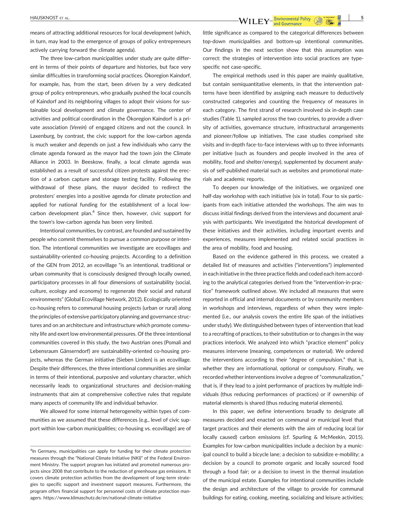المسلم بين المسلم بين المسلم بين المسلم بين المسلم بين المسلم بين المسلم بين المسلم بين المسلم بين المسلم بين ا<br>المسلم بين المسلم بين المسلم بين المسلم بين المسلم بين المسلم بين المسلم بين المسلم بين المسلم بين المسلم بين

means of attracting additional resources for local development (which, in turn, may lead to the emergence of groups of policy entrepreneurs actively carrying forward the climate agenda).

The three low-carbon municipalities under study are quite different in terms of their points of departure and histories, but face very similar difficulties in transforming social practices. Ökoregion Kaindorf, for example, has, from the start, been driven by a very dedicated group of policy entrepreneurs, who gradually pushed the local councils of Kaindorf and its neighboring villages to adopt their visions for sustainable local development and climate governance. The center of activities and political coordination in the Ökoregion Kaindorf is a private association (*Verein*) of engaged citizens and not the council. In Laxenburg, by contrast, the civic support for the low-carbon agenda is much weaker and depends on just a few individuals who carry the climate agenda forward as the mayor had the town join the Climate Alliance in 2003. In Beeskow, finally, a local climate agenda was established as a result of successful citizen protests against the erection of a carbon capture and storage testing facility. Following the withdrawal of these plans, the mayor decided to redirect the protesters' energies into a positive agenda for climate protection and applied for national funding for the establishment of a local low‐ carbon development plan. $4$  Since then, however, civic support for the town's low‐carbon agenda has been very limited.

Intentional communities, by contrast, are founded and sustained by people who commit themselves to pursue a common purpose or intention. The intentional communities we investigate are ecovillages and sustainability-oriented co-housing projects. According to a definition of the GEN from 2012, an ecovillage "is an intentional, traditional or urban community that is consciously designed through locally owned, participatory processes in all four dimensions of sustainability (social, culture, ecology and economy) to regenerate their social and natural environments" (Global Ecovillage Network, 2012). Ecologically oriented co-housing refers to communal housing projects (urban or rural) along the principles of extensive participatory planning and governance structures and on an architecture and infrastructure which promote community life and exert low environmental pressures. Of the three intentional communities covered in this study, the two Austrian ones (Pomali and Lebensraum Gänserndorf) are sustainability-oriented co-housing projects, whereas the German initiative (Sieben Linden) is an ecovillage. Despite their differences, the three intentional communities are similar in terms of their intentional, purposive and voluntary character, which necessarily leads to organizational structures and decision‐making instruments that aim at comprehensive collective rules that regulate many aspects of community life and individual behavior.

We allowed for some internal heterogeneity within types of communities as we assumed that these differences (e.g., level of civic support within low-carbon municipalities; co-housing vs. ecovillage) are of little significance as compared to the categorical differences between top‐down municipalities and bottom‐up intentional communities. Our findings in the next section show that this assumption was correct: the strategies of intervention into social practices are typespecific not case‐specific.

The empirical methods used in this paper are mainly qualitative, but contain semiquantitative elements, in that the intervention patterns have been identified by assigning each measure to deductively constructed categories and counting the frequency of measures in each category. The first strand of research involved six in‐depth case studies (Table 1), sampled across the two countries, to provide a diversity of activities, governance structure, infrastructural arrangements and pioneer/follow up initiatives. The case studies comprised site visits and in‐depth face‐to‐face interviews with up to three informants per initiative (such as founders and people involved in the area of mobility, food and shelter/energy), supplemented by document analysis of self-published material such as websites and promotional materials and academic reports.

To deepen our knowledge of the initiatives, we organized one half-day workshop with each initiative (six in total). Four to six participants from each initiative attended the workshops. The aim was to discuss initial findings derived from the interviews and document analysis with participants. We investigated the historical development of these initiatives and their activities, including important events and experiences, measures implemented and related social practices in the area of mobility, food and housing.

Based on the evidence gathered in this process, we created a detailed list of measures and activities ("interventions") implemented in each initiative in the three practice fields and coded each item according to the analytical categories derived from the "intervention‐in‐practice" framework outlined above. We included all measures that were reported in official and internal documents or by community members in workshops and interviews, regardless of when they were implemented (i.e., our analysis covers the entire life span of the initiatives under study). We distinguished between types of intervention that lead to a recrafting of practices, to their substitution or to changes in the way practices interlock. We analyzed into which "practice element" policy measures intervene (meaning, competences or material). We ordered the interventions according to their "degree of compulsion," that is, whether they are informational, optional or compulsory. Finally, we recorded whether interventions involve a degree of "communalization," that is, if they lead to a joint performance of practices by multiple individuals (thus reducing performances of practices) or if ownership of material elements is shared (thus reducing material elements).

In this paper, we define interventions broadly to designate all measures decided and enacted on communal or municipal level that target practices and their elements with the aim of reducing local (or locally caused) carbon emissions (cf. Spurling & McMeekin, 2015). Examples for low-carbon municipalities include a decision by a municipal council to build a bicycle lane; a decision to subsidize e-mobility; a decision by a council to promote organic and locally sourced food through a food fair; or a decision to invest in the thermal insulation of the municipal estate. Examples for intentional communities include the design and architecture of the village to provide for communal buildings for eating, cooking, meeting, socializing and leisure activities;

<sup>&</sup>lt;sup>4</sup>In Germany, municipalities can apply for funding for their climate protection measures through the "National Climate Initiative (NKI)" of the Federal Environment Ministry. The support program has initiated and promoted numerous projects since 2008 that contribute to the reduction of greenhouse gas emissions. It covers climate protection activities from the development of long‐term strategies to specific support and investment support measures. Furthermore, the program offers financial support for personnel costs of climate protection managers. [https://www.klimaschutz.de/en/national](https://www.klimaschutz.de/en/national-climate-initiative)‐climate‐initiative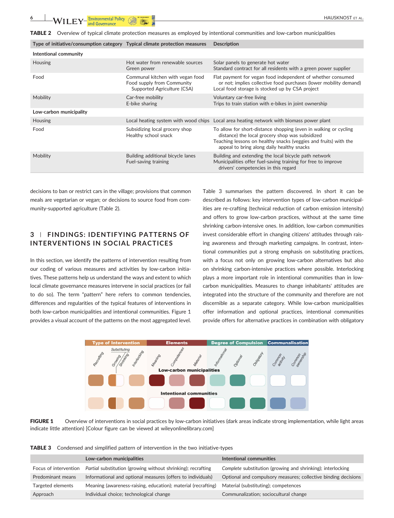TABLE 2 Overview of typical climate protection measures as employed by intentional communities and low-carbon municipalities

| Type of initiative/consumption category Typical climate protection measures |                                                                                               | <b>Description</b>                                                                                                                                                                                                                    |
|-----------------------------------------------------------------------------|-----------------------------------------------------------------------------------------------|---------------------------------------------------------------------------------------------------------------------------------------------------------------------------------------------------------------------------------------|
| Intentional community                                                       |                                                                                               |                                                                                                                                                                                                                                       |
| <b>Housing</b>                                                              | Hot water from renewable sources<br>Green power                                               | Solar panels to generate hot water<br>Standard contract for all residents with a green power supplier                                                                                                                                 |
| Food                                                                        | Communal kitchen with vegan food<br>Food supply from Community<br>Supported Agriculture (CSA) | Flat payment for vegan food independent of whether consumed<br>or not; implies collective food purchases (lower mobility demand)<br>Local food storage is stocked up by CSA project                                                   |
| Mobility                                                                    | Car-free mobility<br>E-bike sharing                                                           | Voluntary car-free living<br>Trips to train station with e-bikes in joint ownership                                                                                                                                                   |
| Low-carbon municipality                                                     |                                                                                               |                                                                                                                                                                                                                                       |
| <b>Housing</b>                                                              |                                                                                               | Local heating system with wood chips Local area heating network with biomass power plant                                                                                                                                              |
| Food                                                                        | Subsidizing local grocery shop<br>Healthy school snack                                        | To allow for short-distance shopping (even in walking or cycling<br>distance) the local grocery shop was subsidized<br>Teaching lessons on healthy snacks (veggies and fruits) with the<br>appeal to bring along daily healthy snacks |
| Mobility                                                                    | Building additional bicycle lanes<br>Fuel-saving training                                     | Building and extending the local bicycle path network<br>Municipalities offer fuel-saving training for free to improve<br>drivers' competencies in this regard                                                                        |

decisions to ban or restrict cars in the village; provisions that common meals are vegetarian or vegan; or decisions to source food from community‐supported agriculture (Table 2).

## **3** | **FINDINGS: IDENTIFYING PATTERNS OF INTERVENTIONS IN SOCIAL PRACTICES**

In this section, we identify the patterns of intervention resulting from our coding of various measures and activities by low‐carbon initiatives. These patterns help us understand the ways and extent to which local climate governance measures intervene in social practices (or fail to do so). The term "pattern" here refers to common tendencies, differences and regularities of the typical features of interventions in both low-carbon municipalities and intentional communities. Figure 1 provides a visual account of the patterns on the most aggregated level.

Table 3 summarises the pattern discovered. In short it can be described as follows: key intervention types of low‐carbon municipalities are re-crafting (technical reduction of carbon emission intensity) and offers to grow low-carbon practices, without at the same time shrinking carbon‐intensive ones. In addition, low‐carbon communities invest considerable effort in changing citizens' attitudes through raising awareness and through marketing campaigns. In contrast, intentional communities put a strong emphasis on substituting practices, with a focus not only on growing low-carbon alternatives but also on shrinking carbon‐intensive practices where possible. Interlocking plays a more important role in intentional communities than in low‐ carbon municipalities. Measures to change inhabitants' attitudes are integrated into the structure of the community and therefore are not discernible as a separate category. While low‐carbon municipalities offer information and optional practices, intentional communities provide offers for alternative practices in combination with obligatory



FIGURE 1 Overview of interventions in social practices by low-carbon initiatives (dark areas indicate strong implementation, while light areas indicate little attention) [Colour figure can be viewed at [wileyonlinelibrary.com\]](http://wileyonlinelibrary.com)

TABLE 3 Condensed and simplified pattern of intervention in the two initiative-types

|                       | Low-carbon municipalities                                     | Intentional communities                                        |
|-----------------------|---------------------------------------------------------------|----------------------------------------------------------------|
| Focus of intervention | Partial substitution (growing without shrinking); recrafting  | Complete substitution (growing and shrinking); interlocking    |
| Predominant means     | Informational and optional measures (offers to individuals)   | Optional and compulsory measures; collective binding decisions |
| Targeted elements     | Meaning (awareness-raising, education); material (recrafting) | Material (substituting); competences                           |
| Approach              | Individual choice; technological change                       | Communalization; sociocultural change                          |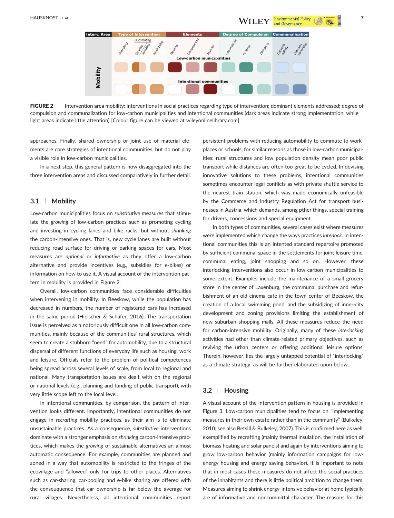Dec **Interv. Area** carbon municipalities Mobility **Intentional communities** 

FIGURE 2 Intervention area mobility: interventions in social practices regarding type of intervention; dominant elements addressed; degree of compulsion and communalization for low‐carbon municipalities and intentional communities (dark areas indicate strong implementation, while light areas indicate little attention) [Colour figure can be viewed at [wileyonlinelibrary.com](http://wileyonlinelibrary.com)]

approaches. Finally, shared ownership or joint use of material elements are core strategies of intentional communities, but do not play a visible role in low-carbon municipalities.

In a next step, this general pattern is now disaggregated into the three intervention areas and discussed comparatively in further detail.

### **3.1** | **Mobility**

Low‐carbon municipalities focus on *substitutive* measures that stimulate the *growing* of low-carbon practices such as promoting cycling and investing in cycling lanes and bike racks, but without *shrinking* the carbon‐intensive ones. That is, new cycle lanes are built without reducing road surface for driving or parking spaces for cars. Most measures are *optional* or *informative* as they offer a low‐carbon alternative and provide incentives (e.g., subsidies for e‐bikes) or information on how to use it. A visual account of the intervention pattern in mobility is provided in Figure 2.

Overall, low‐carbon communities face considerable difficulties when intervening in mobility. In Beeskow, while the population has decreased in numbers, the number of registered cars has increased in the same period (Hielscher & Schäfer, 2016). The transportation issue is perceived as a notoriously difficult one in all low‐carbon communities, mainly because of the communities' rural structures, which seem to create a stubborn "need" for automobility, due to a structural dispersal of different functions of everyday life such as housing, work and leisure. Officials refer to the problem of political competences being spread across several levels of scale, from local to regional and national. Many transportation issues are dealt with on the regional or national levels (e.g., planning and funding of public transport), with very little scope left to the local level.

In intentional communities, by comparison, the pattern of intervention looks different. Importantly, intentional communities do not engage in *recrafting* mobility practices, as their aim is to eliminate unsustainable practices. As a consequence, *substitutive* interventions dominate with a stronger emphasis on *shrinking* carbon‐intensive practices, which makes the *growing* of sustainable alternatives an almost automatic consequence. For example, communities are planned and zoned in a way that automobility is restricted to the fringes of the ecovillage and "allowed" only for trips to other places. Alternatives such as car-sharing, car-pooling and e-bike sharing are offered with the conseuquence that car ownership is far below the average for rural villages. Nevertheless, all intentional communities report

persistent problems with reducing automobility to commute to workplaces or schools, for similar reasons as those in low-carbon municipalities: rural structures and low population density mean poor public transport while distances are often too great to be cycled. In devising innovative solutions to these problems, intentional communities sometimes encounter legal conflicts as with private shuttle service to the nearest train station, which was made economically unfeasible by the Commerce and Industry Regulation Act for transport businesses in Austria, which demands, among pther things, special training for drivers, concessions and special equipment.

and Governance

In both types of communities, several cases exist where measures were implemented which change the ways practices *interlock*. In intentional communities this is an intented standard repertoire promoted by sufficient communal space in the settlements for joint leisure time, communal eating, joint shopping and so on. However, these interlocking interventions also occur in low‐carbon municipalities to some extent. Examples include the maintenance of a small grocery store in the center of Laxenburg, the communal purchase and refurbishment of an old cinema‐café in the town center of Beeskow, the creation of a local swimming pond, and the subsidizing of inner‐city development and zoning provisions limiting the establishment of new suburban shopping malls. All these measures reduce the need for carbon‐intensive mobility. Originally, many of these *interlocking* activities had other than climate‐related primary objectives, such as reviving the urban centers or offering additional leisure options. Therein, however, lies the largely untapped potential of "interlocking" as a climate strategy, as will be further elaborated upon below.

## **3.2** | **Housing**

A visual account of the intervention pattern in housing is provided in Figure 3. Low-carbon municipalities tend to focus on "implementing measures in their own estate rather than in the community" (Bulkeley, 2010; see also Betsill & Bulkeley, 2007). This is confirmed here as well, exemplified by recrafting (mainly thermal insulation, the installation of biomass heating and solar panels) and again by interventions aiming to grow low-carbon behavior (mainly information campaigns for lowenergy housing and energy saving behavior). It is important to note that in most cases these measures do not affect the social practices of the inhabitants and there is little political ambition to change them. Measures aiming to shrink energy‐intensive behavior at home typically are of informative and noncommittal character. The reasons for this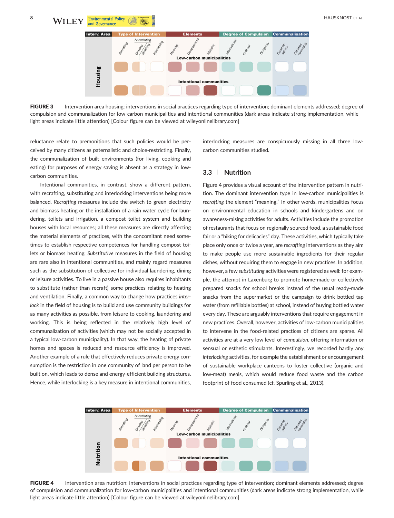

FIGURE 3 Intervention area housing: interventions in social practices regarding type of intervention; dominant elements addressed; degree of compulsion and communalization for low-carbon municipalities and intentional communities (dark areas indicate strong implementation, while light areas indicate little attention) [Colour figure can be viewed at [wileyonlinelibrary.com](http://wileyonlinelibrary.com)]

reluctance relate to premonitions that such policies would be perceived by many citizens as paternalistic and choice‐restricting. Finally, the communalization of built environments (for living, cooking and eating) for purposes of energy saving is absent as a strategy in lowcarbon communities.

Intentional communities, in contrast, show a different pattern, with recrafting, substituting and interlocking interventions being more balanced. *Recrafting* measures include the switch to green electricity and biomass heating or the installation of a rain water cycle for laundering, toilets and irrigation, a compost toilet system and building houses with local resources; all these measures are directly affecting the material elements of practices, with the concomitant need sometimes to establish respective competences for handling compost toilets or biomass heating. *Substitutive* measures in the field of housing are rare also in intentional communities, and mainly regard measures such as the substitution of collective for individual laundering, dining or leisure activities. To live in a passive house also requires inhabitants to substitute (rather than recraft) some practices relating to heating and ventilation. Finally, a common way to change how practices *interlock* in the field of housing is to build and use community buildings for as many activities as possible, from leisure to cooking, laundering and working. This is being reflected in the relatively high level of communalization of activities (which may not be socially accepted in a typical low-carbon municipality). In that way, the heating of private homes and spaces is reduced and resource efficiency is improved. Another example of a rule that effectively reduces private energy consumption is the restriction in one community of land per person to be built on, which leads to dense and energy-efficient building structures. Hence, while interlocking is a key measure in intentional communities,

interlocking measures are conspicuously missing in all three lowcarbon communities studied.

## **3.3** | **Nutrition**

Figure 4 provides a visual account of the intervention pattern in nutrition. The dominant intervention type in low‐carbon municipalities is *recrafting* the element "meaning." In other words, municipalities focus on environmental education in schools and kindergartens and on awareness‐raising activities for adults. Activities include the promotion of restaurants that focus on regionally sourced food, a sustainable food fair or a "hiking for delicacies" day. These activities, which typically take place only once or twice a year, are *recrafting* interventions as they aim to make people use more sustainable ingredients for their regular dishes, without requiring them to engage in new practices. In addition, however, a few *substituting* activities were registered as well: for example, the attempt in Laxenburg to promote home‐made or collectively prepared snacks for school breaks instead of the usual ready-made snacks from the supermarket or the campaign to drink bottled tap water (from refillable bottles) at school, instead of buying bottled water every day. These are arguably interventions that require engagement in new practices. Overall, however, activities of low‐carbon municipalities to intervene in the food‐related practices of citizens are sparse. All activities are at a very low level of *compulsion*, offering information or sensual or esthetic stimulants. Interestingly, we recorded hardly any *interlocking* activities, for example the establishment or encouragement of sustainable workplace canteens to foster collective (organic and low-meat) meals, which would reduce food waste and the carbon footprint of food consumed (cf. Spurling et al., 2013).



FIGURE 4 Intervention area nutrition: interventions in social practices regarding type of intervention; dominant elements addressed; degree of compulsion and communalization for low‐carbon municipalities and intentional communities (dark areas indicate strong implementation, while light areas indicate little attention) [Colour figure can be viewed at [wileyonlinelibrary.com](http://wileyonlinelibrary.com)]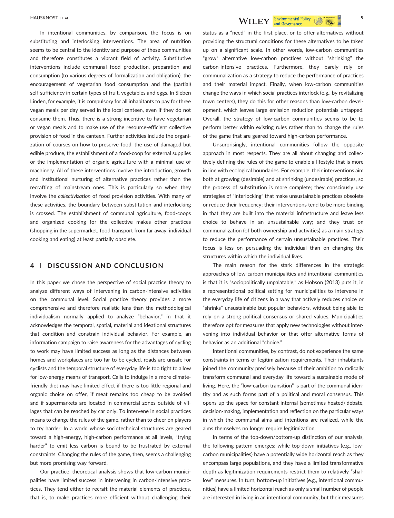In intentional communities, by comparison, the focus is on substituting and interlocking interventions. The area of nutrition seems to be central to the identity and purpose of these communities and therefore constitutes a vibrant field of activity. Substitutive interventions include communal food production, preparation and consumption (to various degrees of formalization and obligation), the encouragement of vegetarian food consumption and the (partial) self-sufficiency in certain types of fruit, vegetables and eggs. In Sieben Linden, for example, it is compulsory for all inhabitants to pay for three vegan meals per day served in the local canteen, even if they do not consume them. Thus, there is a strong incentive to have vegetarian or vegan meals and to make use of the resource‐efficient collective provision of food in the canteen. Further activities include the organization of courses on how to preserve food, the use of damaged but edible produce, the establishment of a food‐coop for external supplies or the implementation of organic agriculture with a minimal use of machinery. All of these interventions involve the introduction, growth and institutional nurturing of alternative practices rather than the recrafting of mainstream ones. This is particularly so when they involve the *collectivization* of food provision activities. With many of these activities, the boundary between substitution and interlocking is crossed. The establishment of communal agriculture, food‐coops and organized cooking for the collective makes other practices (shopping in the supermarket, food transport from far away, individual cooking and eating) at least partially obsolete.

## **4** | **DISCUSSION AND CONCLUSION**

In this paper we chose the perspective of social practice theory to analyze different ways of intervening in carbon‐intensive activities on the communal level. Social practice theory provides a more comprehensive and therefore realistic lens than the methodological individualism normally applied to analyze "behavior," in that it acknowledges the temporal, spatial, material and ideational structures that condition and constrain individual behavior. For example, an information campaign to raise awareness for the advantages of cycling to work may have limited success as long as the distances between homes and workplaces are too far to be cycled, roads are unsafe for cyclists and the temporal structure of everyday life is too tight to allow for low-energy means of transport. Calls to indulge in a more climatefriendly diet may have limited effect if there is too little regional and organic choice on offer, if meat remains too cheap to be avoided and if supermarkets are located in commercial zones outside of villages that can be reached by car only. To intervene in social practices means to change the rules of the game, rather than to cheer on players to try harder. In a world whose sociotechnical structures are geared toward a high‐energy, high‐carbon performance at all levels, "trying harder" to emit less carbon is bound to be frustrated by external constraints. Changing the rules of the game, then, seems a challenging but more promising way forward.

Our practice–theoretical analysis shows that low‐carbon municipalities have limited success in intervening in carbon-intensive practices. They tend either to recraft the material elements of practices, that is, to make practices more efficient without challenging their status as a "need" in the first place, or to offer alternatives without providing the structural conditions for these alternatives to be taken up on a significant scale. In other words, low‐carbon communities "grow" alternative low‐carbon practices without "shrinking" the carbon-intensive practices. Furthermore, they barely rely on communalization as a strategy to reduce the performance of practices and their material impact. Finally, when low-carbon communities change the ways in which social practices interlock (e.g., by revitalizing town centers), they do this for other reasons than low-carbon development, which leaves large emission reduction potentials untapped. Overall, the strategy of low‐carbon communities seems to be to perform better within existing rules rather than to change the rules of the game that are geared toward high‐carbon performance.

Unsurprisingly, intentional communities follow the opposite approach in most respects. They are all about changing and collectively defining the rules of the game to enable a lifestyle that is more in line with ecological boundaries. For example, their interventions aim both at growing (desirable) and at shrinking (undesirable) practices, so the process of substitution is more complete; they consciously use strategies of "interlocking" that make unsustainable practices obsolete or reduce their frequency; their interventions tend to be more binding in that they are built into the material infrastructure and leave less choice to behave in an unsustainable way; and they trust on communalization (of both ownership and activities) as a main strategy to reduce the performance of certain unsustainable practices. Their focus is less on persuading the individual than on changing the structures within which the individual lives.

The main reason for the stark differences in the strategic approaches of low‐carbon municipalities and intentional communities is that it is "sociopolitically unpalatable," as Hobson (2013) puts it, in a representational political setting for municipalities to intervene in the everyday life of citizens in a way that actively reduces choice or "shrinks" unsustainable but popular behaviors, without being able to rely on a strong political consensus or shared values. Municipalities therefore opt for measures that apply new technologies without intervening into individual behavior or that offer alternative forms of behavior as an additional "choice."

Intentional communities, by contrast, do not experience the same constraints in terms of legitimization requirements. Their inhabitants joined the community precisely because of their ambition to radically transform communal and everyday life toward a sustainable mode of living. Here, the "low‐carbon transition" is part of the communal identity and as such forms part of a political and moral consensus. This opens up the space for constant internal (sometimes heated) debate, decision‐making, implementation and reflection on the particular ways in which the communal aims and intentions are realized, while the aims themselves no longer require legitimization.

In terms of the top‐down/bottom‐up distinction of our analysis, the following pattern emerges: while top-down initiatives (e.g., lowcarbon municipalities) have a potentially wide horizontal reach as they encompass large populations, and they have a limited transformative depth as legitimization requirements restrict them to relatively "shallow" measures. In turn, bottom-up initiatives (e.g., intentional communities) have a limited horizontal reach as only a small number of people are interested in living in an intentional community, but their measures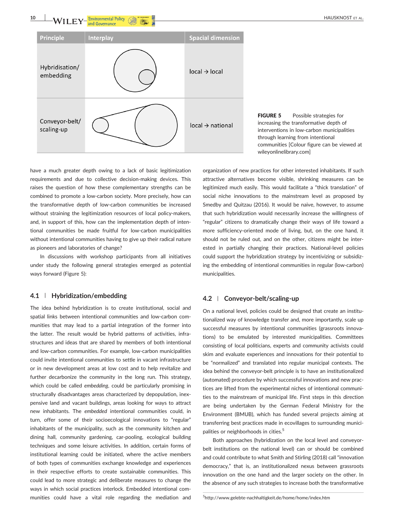**10 WILEY** and Governance **Container and Science Containers 10** HAUSKNOST ET AL.



FIGURE 5 Possible strategies for increasing the transformative depth of interventions in low‐carbon municipalities through learning from intentional communities [Colour figure can be viewed at [wileyonlinelibrary.com](http://wileyonlinelibrary.com)]

have a much greater depth owing to a lack of basic legitimization requirements and due to collective decision‐making devices. This raises the question of how these complementary strengths can be combined to promote a low‐carbon society. More precisely, how can the transformative depth of low‐carbon communities be increased without straining the legitimization resources of local policy-makers, and, in support of this, how can the implementation depth of intentional communities be made fruitful for low‐carbon municipalities without intentional communities having to give up their radical nature as pioneers and laboratories of change?

In discussions with workshop participants from all initiatives under study the following general strategies emerged as potential ways forward (Figure 5):

## **4.1** | **Hybridization/embedding**

The idea behind hybridization is to create institutional, social and spatial links between intentional communities and low-carbon communities that may lead to a partial integration of the former into the latter. The result would be hybrid patterns of activities, infrastructures and ideas that are shared by members of both intentional and low-carbon communities. For example, low-carbon municipalities could invite intentional communities to settle in vacant infrastructure or in new development areas at low cost and to help revitalize and further decarbonize the community in the long run. This strategy, which could be called *embedding*, could be particularly promising in structurally disadvantages areas characterized by depopulation, inexpensive land and vacant buildings, areas looking for ways to attract new inhabitants. The *embedded* intentional communities could, in turn, offer some of their socioecological innovations to "regular" inhabitants of the municipality, such as the community kitchen and dining hall, community gardening, car‐pooling, ecological building techniques and some leisure activities. In addition, certain forms of institutional learning could be initiated, where the active members of both types of communities exchange knowledge and experiences in their respective efforts to create sustainable communities. This could lead to more strategic and deliberate measures to change the ways in which social practices interlock. Embedded intentional communities could have a vital role regarding the mediation and

organization of new practices for other interested inhabitants. If such attractive alternatives become visible, shrinking measures can be legitimized much easily. This would facilitate a "thick translation" of social niche innovations to the mainstream level as proposed by Smedby and Quitzau (2016). It would be naive, however, to assume that such hybridization would necessarily increase the willingness of "regular" citizens to dramatically change their ways of life toward a more sufficiency-oriented mode of living, but, on the one hand, it should not be ruled out, and on the other, citizens might be interested in partially changing their practices. National‐level policies could support the hybridization strategy by incentivizing or subsidizing the embedding of intentional communities in regular (low-carbon) municipalities.

## **4.2** | **Conveyor‐belt/scaling‐up**

On a national level, policies could be designed that create an institutionalized way of knowledge transfer and, more importantly, scale up successful measures by intentional communities (grassroots innovations) to be emulated by interested municipalities. Committees consisting of local politicians, experts and community activists could skim and evaluate experiences and innovations for their potential to be "normalized" and translated into regular municipal contexts. The idea behind the conveyor‐belt principle is to have an institutionalized (automated) procedure by which successful innovations and new practices are lifted from the experimental niches of intentional communities to the mainstream of municipal life. First steps in this direction are being undertaken by the German Federal Ministry for the Environment (BMUB), which has funded several projects aiming at transferring best practices made in ecovillages to surrounding municipalities or neighborhoods in cities.<sup>5</sup>

Both approaches (hybridization on the local level and conveyor‐ belt institutions on the national level) can or should be combined and could contribute to what Smith and Stirling (2018) call "innovation democracy," that is, an institutionalized nexus between grassroots innovation on the one hand and the larger society on the other. In the absence of any such strategies to increase both the transformative

5 http://www.gelebte‐[nachhaltigkeit.de/home/home/index.htm](http://www.gelebte-nachhaltigkeit.de/home/home/index.htm)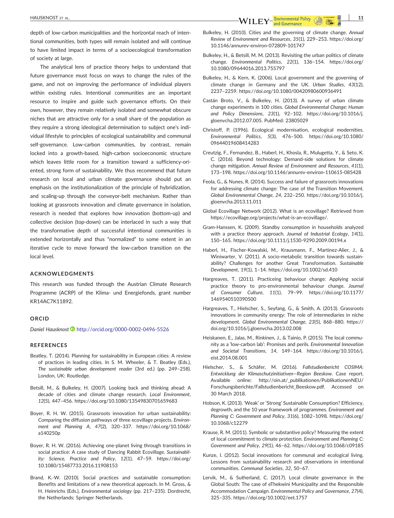**HAUSKNOST ET AL. 11**<br> **11 WILEY** and Governance  $\bigotimes_{\alpha} \bigotimes_{\alpha}^{\infty}$ 

depth of low-carbon municipalities and the horizontal reach of intentional communities, both types will remain isolated and will continue to have limited impact in terms of a socioecological transformation of society at large.

The analytical lens of practice theory helps to understand that future governance must focus on ways to change the rules of the game, and not on improving the performance of individual players within existing rules. Intentional communities are an important resource to inspire and guide such governance efforts. On their own, however, they remain relatively isolated and somewhat obscure niches that are attractive only for a small share of the population as they require a strong ideological determination to subject one's individual lifestyle to principles of ecological sustainability and communal self-governance. Low-carbon communities, by contrast, remain locked into a growth‐based, high‐carbon socioeconomic structure which leaves little room for a transition toward a sufficiency-oriented, strong form of sustainability. We thus recommend that future research on local and urban climate governance should put an emphasis on the institutionalization of the principle of hybridization, and scaling‐up through the conveyor‐belt mechanism. Rather than looking at grassroots innovation and climate governance in isolation, research is needed that explores how innovation (bottom‐up) and collective decision (top‐down) can be interlaced in such a way that the transformative depth of successful intentional communities is extended horizontally and thus "normalized" to some extent in an iterative cycle to move forward the low-carbon transition on the local level.

#### **ACKNOWLEDGMENTS**

This research was funded through the Austrian Climate Research Programme (ACRP) of the Klima‐ und Energiefonds, grant number KR14AC7K11892.

#### **ORCID**

*Daniel Hausknost* <http://orcid.org/0000-0002-0496-5526>

#### **REFERENCES**

- Beatley, T. (2014). Planning for sustainability in European cities: A review of practices in leading cities. In S. M. Wheeler, & T. Beatley (Eds.), *The sustainable urban development reader* (3rd ed.) (pp. 249–258). London, UK: Routledge.
- Betsill, M., & Bulkeley, H. (2007). Looking back and thinking ahead: A decade of cities and climate change research. *Local Environment*, *12*(5), 447–456.<https://doi.org/10.1080/13549830701659683>
- Boyer, R. H. W. (2015). Grassroots innovation for urban sustainability: Comparing the diffusion pathways of three ecovillage projects. *Environment and Planning A*, *47*(2), 320–337. [https://doi.org/10.1068/](https://doi.org/10.1068/a140250p) [a140250p](https://doi.org/10.1068/a140250p)
- Boyer, R. H. W. (2016). Achieving one‐planet living through transitions in social practice: A case study of Dancing Rabbit Ecovillage. *Sustainability: Science, Practice and Policy*, *12*(1), 47–59. [https://doi.org/](https://doi.org/10.1080/15487733.2016.11908153) [10.1080/15487733.2016.11908153](https://doi.org/10.1080/15487733.2016.11908153)
- Brand, K.‐W. (2010). Social practices and sustainable consumption: Benefits and limitations of a new theoretical approach. In M. Gross, & H. Heinrichs (Eds.), *Environmental sociology* (pp. 217–235). Dordrecht, the Netherlands: Springer Netherlands.
- Bulkeley, H. (2010). Cities and the governing of climate change. *Annual Review of Environment and Resources*, *35*(1), 229–253. [https://doi.org/](https://doi.org/10.1146/annurev-environ-072809-101747) [10.1146/annurev](https://doi.org/10.1146/annurev-environ-072809-101747)‐environ‐072809‐101747
- Bulkeley, H., & Betsill, M. M. (2013). Revisiting the urban politics of climate change. *Environmental Politics*, *22*(1), 136–154. [https://doi.org/](https://doi.org/10.1080/09644016.2013.755797) [10.1080/09644016.2013.755797](https://doi.org/10.1080/09644016.2013.755797)
- Bulkeley, H., & Kern, K. (2006). Local government and the governing of climate change in Germany and the UK. *Urban Studies*, *43*(12), 2237–2259.<https://doi.org/10.1080/00420980600936491>
- Castán Broto, V., & Bulkeley, H. (2013). A survey of urban climate change experiments in 100 cities. *Global Environmental Change: Human and Policy Dimensions*, *23*(1), 92–102. [https://doi.org/10.1016/j.](https://doi.org/10.1016/j.gloenvcha.2012.07.005) [gloenvcha.2012.07.005](https://doi.org/10.1016/j.gloenvcha.2012.07.005). PubMed: 23805029
- Christoff, P. (1996). Ecological modernisation, ecological modernities. *Environmental Politics*, *5*(3), 476–500. [https://doi.org/10.1080/](https://doi.org/10.1080/09644019608414283) [09644019608414283](https://doi.org/10.1080/09644019608414283)
- Creutzig, F., Fernandez, B., Haberl, H., Khosla, R., Mulugetta, Y., & Seto, K. C. (2016). Beyond technology: Demand‐side solutions for climate change mitigation. *Annual Review of Environment and Resources*, *41*(1), 173–198. [https://doi.org/10.1146/annurev](https://doi.org/10.1146/annurev-environ-110615-085428)‐environ‐110615‐085428
- Feola, G., & Nunes, R. (2014). Success and failure of grassroots innovations for addressing climate change: The case of the Transition Movement. *Global Environmental Change*, *24*, 232–250. [https://doi.org/10.1016/j.](https://doi.org/10.1016/j.gloenvcha.2013.11.011) [gloenvcha.2013.11.011](https://doi.org/10.1016/j.gloenvcha.2013.11.011)
- Global Ecovillage Network (2012). What is an ecovillage? Retrieved from [https://ecovillage.org/projects/what](https://ecovillage.org/projects/what-is-an-ecovillage/)‐is‐an‐ecovillage/.
- Gram‐Hanssen, K. (2009). Standby consumption in households analyzed with a practice theory approach. *Journal of Industrial Ecology*, *14*(1), 150–165. [https://doi.org/10.1111/j.1530](https://doi.org/10.1111/j.1530-9290.2009.00194.x)‐9290.2009.00194.x
- Haberl, H., Fischer‐Kowalski, M., Krausmann, F., Martinez‐Alier, J., & Winiwarter, V. (2011). A socio-metabolic transition towards sustainability? Challenges for another Great Transformation. *Sustainable Development*, *19*(1), 1–14.<https://doi.org/10.1002/sd.410>
- Hargreaves, T. (2011). Practiceing behaviour change: Applying social practice theory to pro‐environmental behaviour change. *Journal of Consumer Culture*, *11*(1), 79–99. [https://doi.org/10.1177/](https://doi.org/10.1177/1469540510390500) [1469540510390500](https://doi.org/10.1177/1469540510390500)
- Hargreaves, T., Hielscher, S., Seyfang, G., & Smith, A. (2013). Grassroots innovations in community energy: The role of intermediaries in niche development. *Global Environmental Change*, *23*(5), 868–880. [https://](https://doi.org/10.1016/j.gloenvcha.2013.02.008) [doi.org/10.1016/j.gloenvcha.2013.02.008](https://doi.org/10.1016/j.gloenvcha.2013.02.008)
- Heiskanen, E., Jalas, M., Rinkinen, J., & Tainio, P. (2015). The local community as a 'low‐carbon lab': Promises and perils. *Environmental Innovation and Societal Transitions*, *14*, 149–164. [https://doi.org/10.1016/j.](https://doi.org/10.1016/j.eist.2014.08.001) [eist.2014.08.001](https://doi.org/10.1016/j.eist.2014.08.001)
- Hielscher, S., & Schäfer, M. (2016). *Fallstudienbericht COSIMA: Entwicklung der Klimaschutzinitiativen—Region Beeskow*. Case report. Available online: [http://oin.at/\\_publikationen/PublikationenNEU/](http://oin.at/_publikationen/PublikationenNEU/Forschungsberichte/Fallstudienbericht_Beeskow.pdf) [Forschungsberichte/Fallstudienbericht\\_Beeskow.pdf.](http://oin.at/_publikationen/PublikationenNEU/Forschungsberichte/Fallstudienbericht_Beeskow.pdf) Accessed on 30 March 2018.
- Hobson, K. (2013). 'Weak' or 'Strong' Sustainable Consumption? Efficiency, degrowth, and the 10 year framework of programmes. *Environment and Planning C: Government and Policy*, *31*(6), 1082–1098. [https://doi.org/](https://doi.org/10.1068/c12279) [10.1068/c12279](https://doi.org/10.1068/c12279)
- Krause, R. M. (2011). Symbolic or substantive policy? Measuring the extent of local commitment to climate protection. *Environment and Planning C: Government and Policy*, *29*(1), 46–62.<https://doi.org/10.1068/c09185>
- Kunze, I. (2012). Social innovations for communal and ecological living. Lessons from sustainability research and observations in intentional communities. *Communal Societies*, *32*, 50–67.
- Lervik, M., & Sutherland, C. (2017). Local climate governance in the Global South: The case of eThekwini Municipality and the Responsible Accommodation Campaign. *Environmental Policy and Governance*, *27*(4), 325–335.<https://doi.org/10.1002/eet.1757>